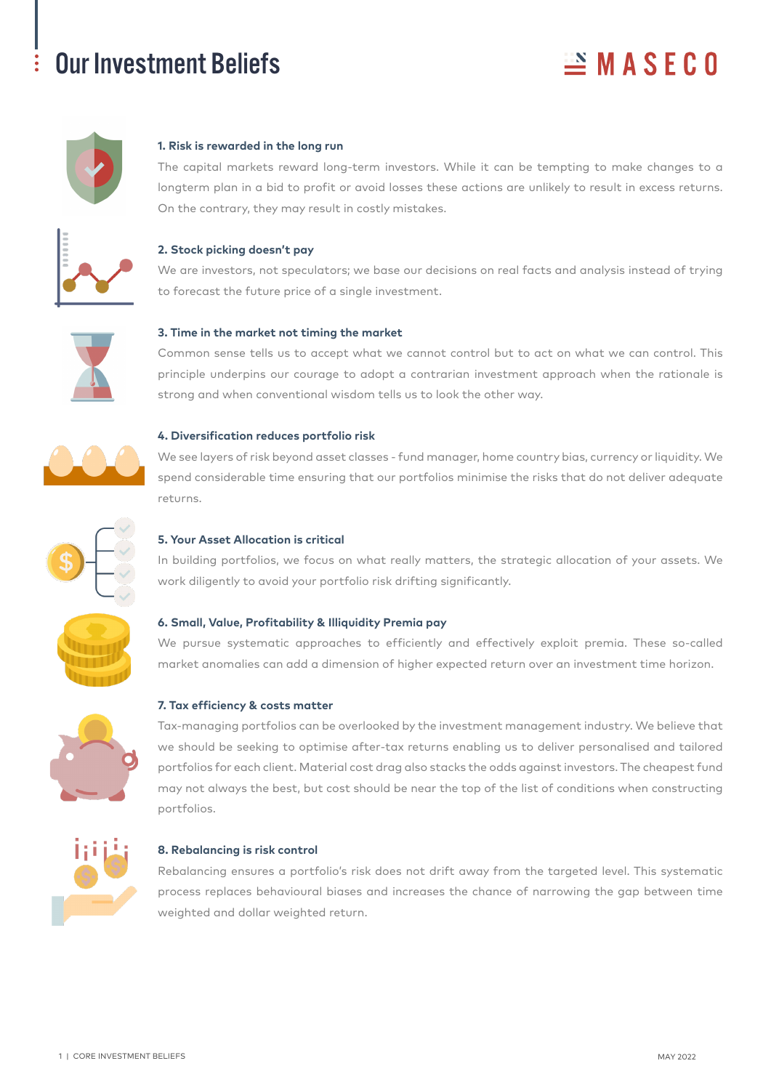## Our Investment Beliefs

# $MASFGO$



## **1. Risk is rewarded in the long run**

The capital markets reward long-term investors. While it can be tempting to make changes to a longterm plan in a bid to profit or avoid losses these actions are unlikely to result in excess returns. On the contrary, they may result in costly mistakes.



## **2. Stock picking doesn't pay**

We are investors, not speculators; we base our decisions on real facts and analysis instead of trying to forecast the future price of a single investment.



## **3. Time in the market not timing the market**

Common sense tells us to accept what we cannot control but to act on what we can control. This principle underpins our courage to adopt a contrarian investment approach when the rationale is strong and when conventional wisdom tells us to look the other way.



## **4. Diversification reduces portfolio risk**

We see layers of risk beyond asset classes - fund manager, home country bias, currency or liquidity. We spend considerable time ensuring that our portfolios minimise the risks that do not deliver adequate returns.



## **5. Your Asset Allocation is critical**

In building portfolios, we focus on what really matters, the strategic allocation of your assets. We work diligently to avoid your portfolio risk drifting significantly.



## **6. Small, Value, Profitability & Illiquidity Premia pay**

We pursue systematic approaches to efficiently and effectively exploit premia. These so-called market anomalies can add a dimension of higher expected return over an investment time horizon.

## **7. Tax efficiency & costs matter**



Tax-managing portfolios can be overlooked by the investment management industry. We believe that we should be seeking to optimise after-tax returns enabling us to deliver personalised and tailored portfolios for each client. Material cost drag also stacks the odds against investors. The cheapest fund may not always the best, but cost should be near the top of the list of conditions when constructing portfolios.



## **8. Rebalancing is risk control**

Rebalancing ensures a portfolio's risk does not drift away from the targeted level. This systematic process replaces behavioural biases and increases the chance of narrowing the gap between time weighted and dollar weighted return.